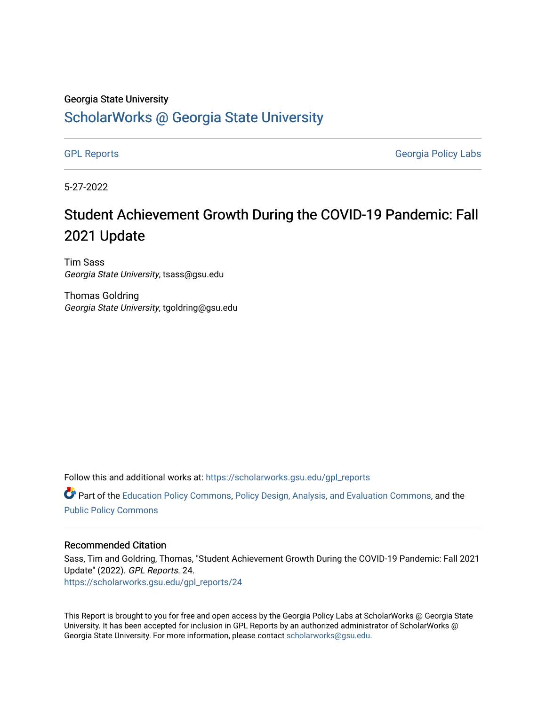#### Georgia State University

#### [ScholarWorks @ Georgia State University](https://scholarworks.gsu.edu/)

[GPL Reports](https://scholarworks.gsu.edu/gpl_reports) **GPL Reports** Georgia Policy Labs

5-27-2022

#### Student Achievement Growth During the COVID-19 Pandemic: Fall 2021 Update

Tim Sass Georgia State University, tsass@gsu.edu

Thomas Goldring Georgia State University, tgoldring@gsu.edu

Follow this and additional works at: [https://scholarworks.gsu.edu/gpl\\_reports](https://scholarworks.gsu.edu/gpl_reports?utm_source=scholarworks.gsu.edu%2Fgpl_reports%2F24&utm_medium=PDF&utm_campaign=PDFCoverPages)

**C** Part of the [Education Policy Commons](https://network.bepress.com/hgg/discipline/1026?utm_source=scholarworks.gsu.edu%2Fgpl_reports%2F24&utm_medium=PDF&utm_campaign=PDFCoverPages), [Policy Design, Analysis, and Evaluation Commons,](https://network.bepress.com/hgg/discipline/1032?utm_source=scholarworks.gsu.edu%2Fgpl_reports%2F24&utm_medium=PDF&utm_campaign=PDFCoverPages) and the [Public Policy Commons](https://network.bepress.com/hgg/discipline/400?utm_source=scholarworks.gsu.edu%2Fgpl_reports%2F24&utm_medium=PDF&utm_campaign=PDFCoverPages)

#### Recommended Citation

Sass, Tim and Goldring, Thomas, "Student Achievement Growth During the COVID-19 Pandemic: Fall 2021 Update" (2022). GPL Reports. 24. [https://scholarworks.gsu.edu/gpl\\_reports/24](https://scholarworks.gsu.edu/gpl_reports/24?utm_source=scholarworks.gsu.edu%2Fgpl_reports%2F24&utm_medium=PDF&utm_campaign=PDFCoverPages) 

This Report is brought to you for free and open access by the Georgia Policy Labs at ScholarWorks @ Georgia State University. It has been accepted for inclusion in GPL Reports by an authorized administrator of ScholarWorks @ Georgia State University. For more information, please contact [scholarworks@gsu.edu](mailto:scholarworks@gsu.edu).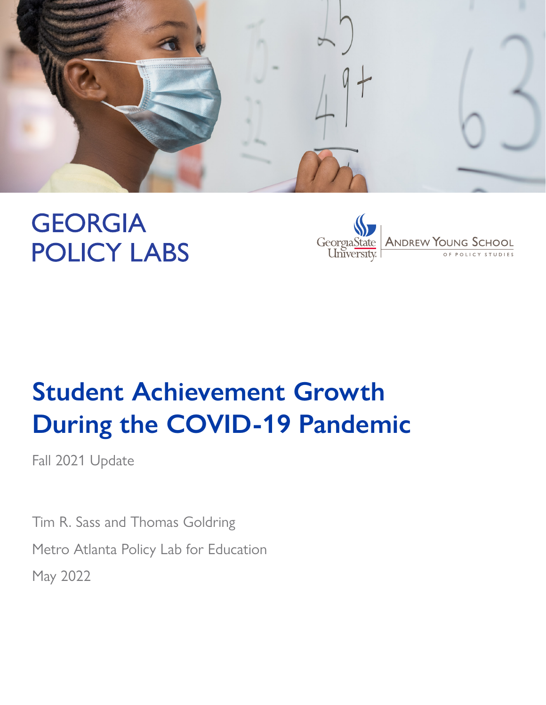

# **GEORGIA POLICY LABS**



# **Student Achievement Growth During the COVID-19 Pandemic**

Fall 2021 Update

Tim R. Sass and Thomas Goldring Metro Atlanta Policy Lab for Education May 2022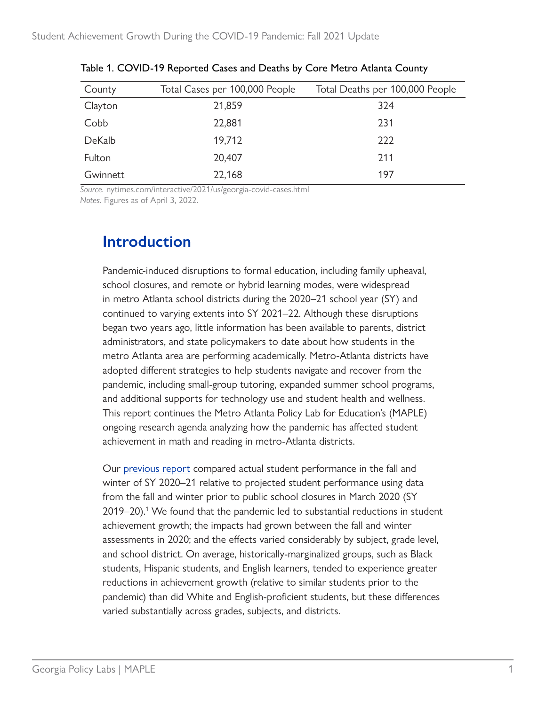| County   | Total Cases per 100,000 People | Total Deaths per 100,000 People |
|----------|--------------------------------|---------------------------------|
| Clayton  | 21,859                         | 324                             |
| Cobb     | 22,881                         | 231                             |
| DeKalb   | 19,712                         | 222                             |
| Fulton   | 20,407                         | 211                             |
| Gwinnett | 22,168                         | 197                             |

Table 1. COVID-19 Reported Cases and Deaths by Core Metro Atlanta County

*Source.* [nytimes.com/interactive/2021/us/georgia-covid-cases.html](http://www.nytimes.com/interactive/2021/us/georgia-covid-cases.html) *Notes.* Figures as of April 3, 2022.

## **Introduction**

Pandemic-induced disruptions to formal education, including family upheaval, school closures, and remote or hybrid learning modes, were widespread in metro Atlanta school districts during the 2020–21 school year (SY) and continued to varying extents into SY 2021–22. Although these disruptions began two years ago, little information has been available to parents, district administrators, and state policymakers to date about how students in the metro Atlanta area are performing academically. Metro-Atlanta districts have adopted different strategies to help students navigate and recover from the pandemic, including small-group tutoring, expanded summer school programs, and additional supports for technology use and student health and wellness. This report continues the Metro Atlanta Policy Lab for Education's (MAPLE) ongoing research agenda analyzing how the pandemic has affected student achievement in math and reading in metro-Atlanta districts.

Our [previous report](https://gpl.gsu.edu/publications/student-achievement-growth-during-the-covid-19-pandemic/) compared actual student performance in the fall and winter of SY 2020–21 relative to projected student performance using data from the fall and winter prior to public school closures in March 2020 (SY 2019–20).<sup>1</sup> We found that the pandemic led to substantial reductions in student achievement growth; the impacts had grown between the fall and winter assessments in 2020; and the effects varied considerably by subject, grade level, and school district. On average, historically-marginalized groups, such as Black students, Hispanic students, and English learners, tended to experience greater reductions in achievement growth (relative to similar students prior to the pandemic) than did White and English-proficient students, but these differences varied substantially across grades, subjects, and districts.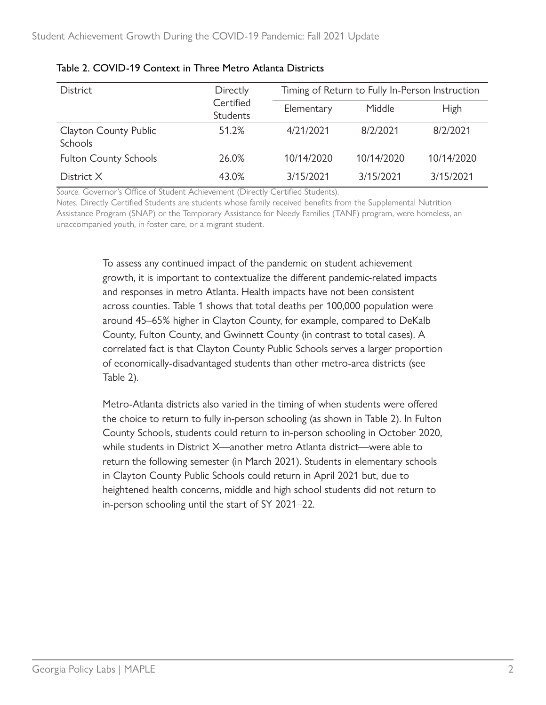| <b>District</b>                         | Directly<br>Certified<br><b>Students</b> | Timing of Return to Fully In-Person Instruction |            |             |
|-----------------------------------------|------------------------------------------|-------------------------------------------------|------------|-------------|
|                                         |                                          | Elementary                                      | Middle     | <b>High</b> |
| Clayton County Public<br><b>Schools</b> | 51.2%                                    | 4/21/2021                                       | 8/2/2021   | 8/2/2021    |
| <b>Fulton County Schools</b>            | 26.0%                                    | 10/14/2020                                      | 10/14/2020 | 10/14/2020  |
| District X                              | 43.0%                                    | 3/15/2021                                       | 3/15/2021  | 3/15/2021   |

#### Table 2. COVID-19 Context in Three Metro Atlanta Districts

*Source.* Governor's Office of Student Achievement (Directly Certified Students).

*Notes.* Directly Certified Students are students whose family received benefits from the Supplemental Nutrition Assistance Program (SNAP) or the Temporary Assistance for Needy Families (TANF) program, were homeless, an unaccompanied youth, in foster care, or a migrant student.

> To assess any continued impact of the pandemic on student achievement growth, it is important to contextualize the different pandemic-related impacts and responses in metro Atlanta. Health impacts have not been consistent across counties. Table 1 shows that total deaths per 100,000 population were around 45–65% higher in Clayton County, for example, compared to DeKalb County, Fulton County, and Gwinnett County (in contrast to total cases). A correlated fact is that Clayton County Public Schools serves a larger proportion of economically-disadvantaged students than other metro-area districts (see Table 2).

> Metro-Atlanta districts also varied in the timing of when students were offered the choice to return to fully in-person schooling (as shown in Table 2). In Fulton County Schools, students could return to in-person schooling in October 2020, while students in District X—another metro Atlanta district—were able to return the following semester (in March 2021). Students in elementary schools in Clayton County Public Schools could return in April 2021 but, due to heightened health concerns, middle and high school students did not return to in-person schooling until the start of SY 2021–22.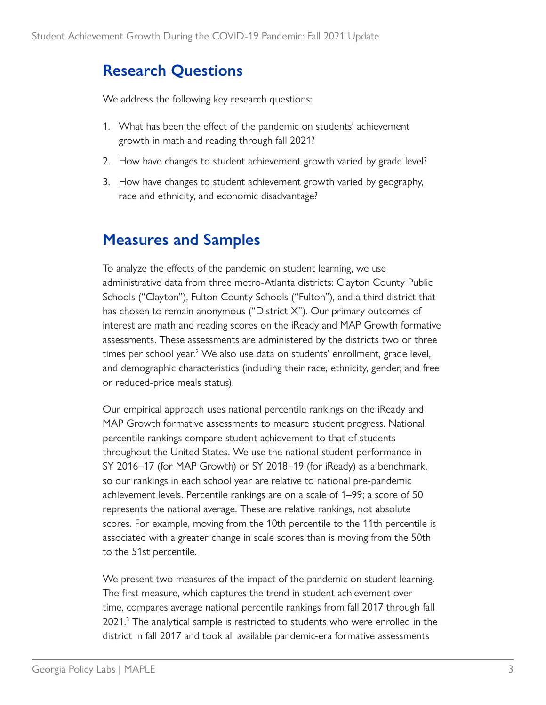## <span id="page-4-0"></span>**Research Questions**

We address the following key research questions:

- 1. What has been the effect of the pandemic on students' achievement growth in math and reading through fall 2021?
- 2. How have changes to student achievement growth varied by grade level?
- 3. How have changes to student achievement growth varied by geography, race and ethnicity, and economic disadvantage?

# **Measures and Samples**

To analyze the effects of the pandemic on student learning, we use administrative data from three metro-Atlanta districts: Clayton County Public Schools ("Clayton"), Fulton County Schools ("Fulton"), and a third district that has chosen to remain anonymous ("District X"). Our primary outcomes of interest are math and reading scores on the iReady and MAP Growth formative assessments. These assessments are administered by the districts two or three times per school year.<sup>2</sup> We also use data on students' enrollment, grade level, and demographic characteristics (including their race, ethnicity, gender, and free or reduced-price meals status).

Our empirical approach uses national percentile rankings on the iReady and MAP Growth formative assessments to measure student progress. National percentile rankings compare student achievement to that of students throughout the United States. We use the national student performance in SY 2016–17 (for MAP Growth) or SY 2018–19 (for iReady) as a benchmark, so our rankings in each school year are relative to national pre-pandemic achievement levels. Percentile rankings are on a scale of 1–99; a score of 50 represents the national average. These are relative rankings, not absolute scores. For example, moving from the 10th percentile to the 11th percentile is associated with a greater change in scale scores than is moving from the 50th to the 51st percentile.

We present two measures of the impact of the pandemic on student learning. The first measure, which captures the trend in student achievement over time, compares average national percentile rankings from fall 2017 through fall 2021.<sup>[3](#page-16-0)</sup> The analytical sample is restricted to students who were enrolled in the district in fall 2017 and took all available pandemic-era formative assessments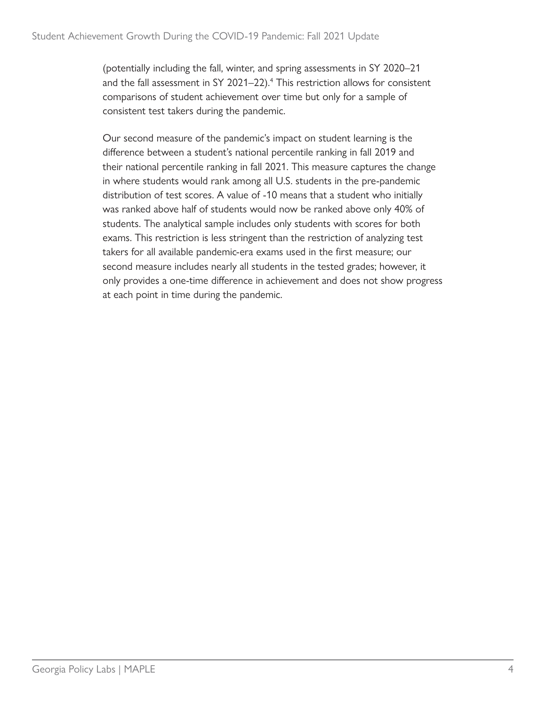<span id="page-5-0"></span>(potentially including the fall, winter, and spring assessments in SY 2020–21 and the fall assessment in SY 2021–22).<sup>[4](#page-16-0)</sup> This restriction allows for consistent comparisons of student achievement over time but only for a sample of consistent test takers during the pandemic.

Our second measure of the pandemic's impact on student learning is the difference between a student's national percentile ranking in fall 2019 and their national percentile ranking in fall 2021. This measure captures the change in where students would rank among all U.S. students in the pre-pandemic distribution of test scores. A value of -10 means that a student who initially was ranked above half of students would now be ranked above only 40% of students. The analytical sample includes only students with scores for both exams. This restriction is less stringent than the restriction of analyzing test takers for all available pandemic-era exams used in the first measure; our second measure includes nearly all students in the tested grades; however, it only provides a one-time difference in achievement and does not show progress at each point in time during the pandemic.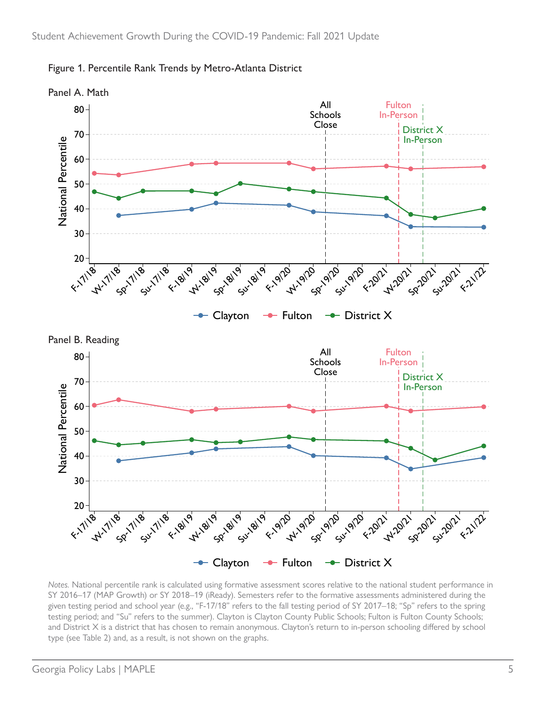

Figure 1. Percentile Rank Trends by Metro-Atlanta District

*Notes.* National percentile rank is calculated using formative assessment scores relative to the national student performance in SY 2016–17 (MAP Growth) or SY 2018–19 (iReady). Semesters refer to the formative assessments administered during the given testing period and school year (e.g., "F-17/18" refers to the fall testing period of SY 2017–18; "Sp" refers to the spring testing period; and "Su" refers to the summer). Clayton is Clayton County Public Schools; Fulton is Fulton County Schools; and District X is a district that has chosen to remain anonymous. Clayton's return to in-person schooling differed by school type (see Table 2) and, as a result, is not shown on the graphs.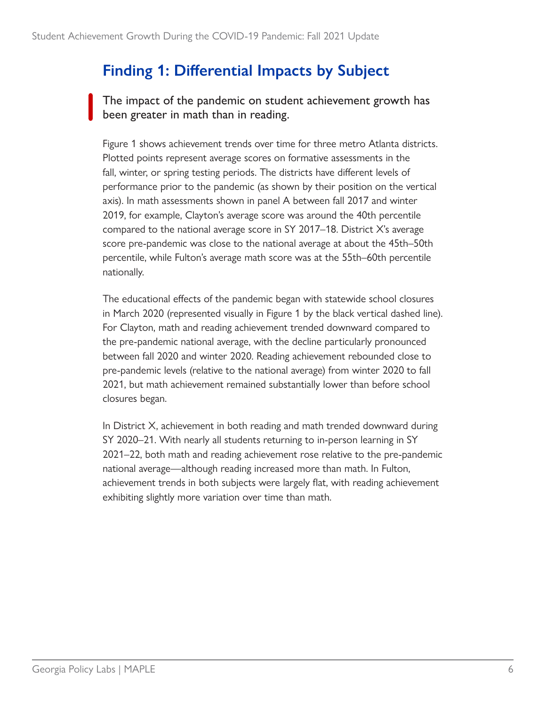## **Finding 1: Differential Impacts by Subject**

The impact of the pandemic on student achievement growth has been greater in math than in reading.

Figure 1 shows achievement trends over time for three metro Atlanta districts. Plotted points represent average scores on formative assessments in the fall, winter, or spring testing periods. The districts have different levels of performance prior to the pandemic (as shown by their position on the vertical axis). In math assessments shown in panel A between fall 2017 and winter 2019, for example, Clayton's average score was around the 40th percentile compared to the national average score in SY 2017–18. District X's average score pre-pandemic was close to the national average at about the 45th–50th percentile, while Fulton's average math score was at the 55th–60th percentile nationally.

The educational effects of the pandemic began with statewide school closures in March 2020 (represented visually in Figure 1 by the black vertical dashed line). For Clayton, math and reading achievement trended downward compared to the pre-pandemic national average, with the decline particularly pronounced between fall 2020 and winter 2020. Reading achievement rebounded close to pre-pandemic levels (relative to the national average) from winter 2020 to fall 2021, but math achievement remained substantially lower than before school closures began.

In District X, achievement in both reading and math trended downward during SY 2020–21. With nearly all students returning to in-person learning in SY 2021–22, both math and reading achievement rose relative to the pre-pandemic national average—although reading increased more than math. In Fulton, achievement trends in both subjects were largely flat, with reading achievement exhibiting slightly more variation over time than math.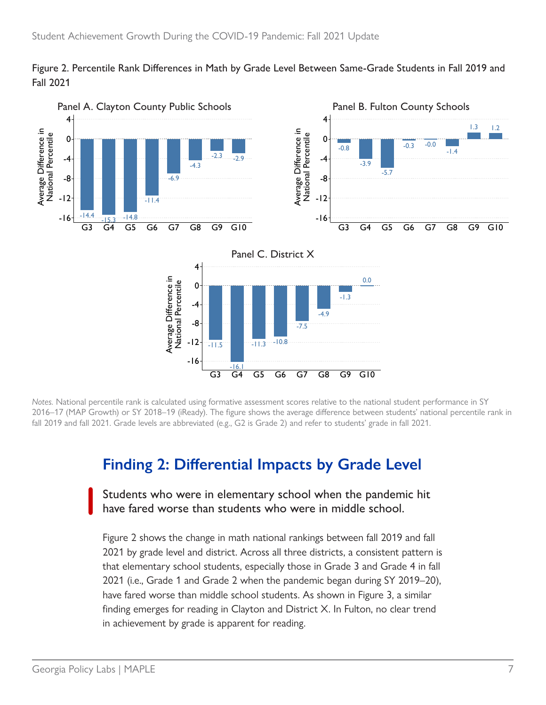



*Notes.* National percentile rank is calculated using formative assessment scores relative to the national student performance in SY 2016–17 (MAP Growth) or SY 2018–19 (iReady). The figure shows the average difference between students' national percentile rank in fall 2019 and fall 2021. Grade levels are abbreviated (e.g., G2 is Grade 2) and refer to students' grade in fall 2021.

#### **Finding 2: Differential Impacts by Grade Level**

Students who were in elementary school when the pandemic hit have fared worse than students who were in middle school.

Figure 2 shows the change in math national rankings between fall 2019 and fall 2021 by grade level and district. Across all three districts, a consistent pattern is that elementary school students, especially those in Grade 3 and Grade 4 in fall 2021 (i.e., Grade 1 and Grade 2 when the pandemic began during SY 2019–20), have fared worse than middle school students. As shown in Figure 3, a similar finding emerges for reading in Clayton and District X. In Fulton, no clear trend in achievement by grade is apparent for reading.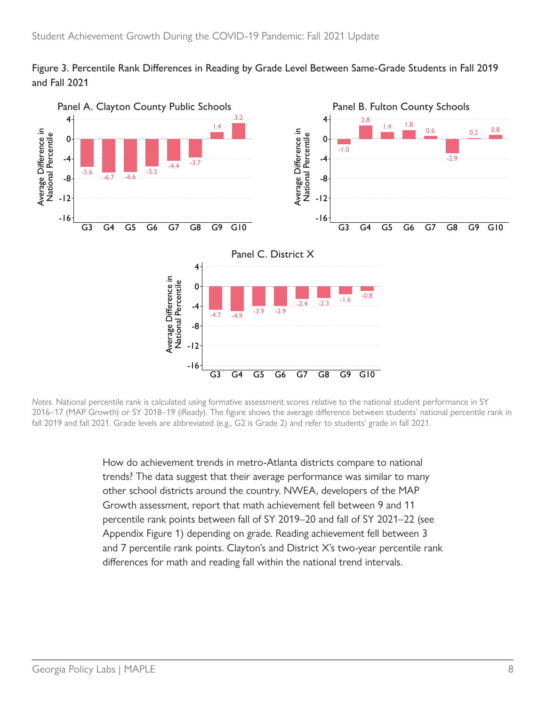



*Notes.* National percentile rank is calculated using formative assessment scores relative to the national student performance in SY 2016–17 (MAP Growth) or SY 2018–19 (iReady). The figure shows the average difference between students' national percentile rank in fall 2019 and fall 2021. Grade levels are abbreviated (e.g., G2 is Grade 2) and refer to students' grade in fall 2021.

How do achievement trends in metro-Atlanta districts compare to national trends? The data suggest that their average performance was similar to many other school districts around the country. NWEA, developers of the MAP Growth assessment, report that math achievement fell between 9 and 11 percentile rank points between fall of SY 2019–20 and fall of SY 2021–22 (see Appendix Figure 1) depending on grade. Reading achievement fell between 3 and 7 percentile rank points. Clayton's and District X's two-year percentile rank differences for math and reading fall within the national trend intervals.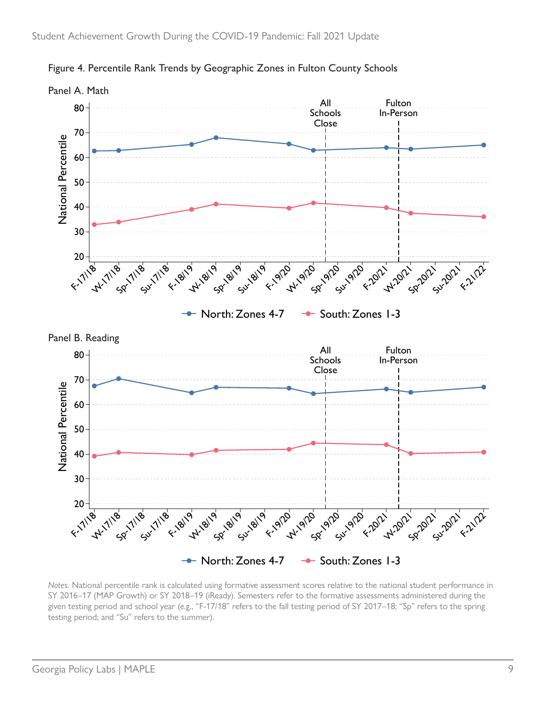

Figure 4. Percentile Rank Trends by Geographic Zones in Fulton County Schools

*Notes.* National percentile rank is calculated using formative assessment scores relative to the national student performance in SY 2016–17 (MAP Growth) or SY 2018–19 (iReady). Semesters refer to the formative assessments administered during the given testing period and school year (e.g., "F-17/18" refers to the fall testing period of SY 2017–18; "Sp" refers to the spring testing period; and "Su" refers to the summer).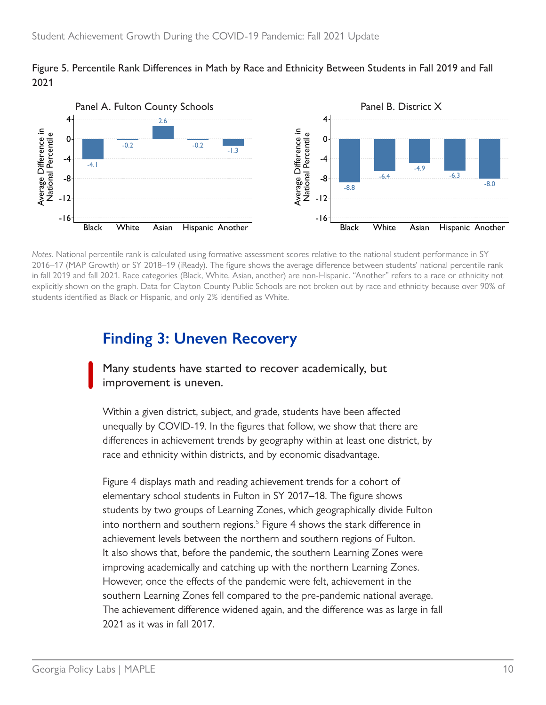#### <span id="page-11-0"></span>Figure 5. Percentile Rank Differences in Math by Race and Ethnicity Between Students in Fall 2019 and Fall 2021



*Notes.* National percentile rank is calculated using formative assessment scores relative to the national student performance in SY 2016–17 (MAP Growth) or SY 2018–19 (iReady). The figure shows the average difference between students' national percentile rank in fall 2019 and fall 2021. Race categories (Black, White, Asian, another) are non-Hispanic. "Another" refers to a race or ethnicity not explicitly shown on the graph. Data for Clayton County Public Schools are not broken out by race and ethnicity because over 90% of students identified as Black or Hispanic, and only 2% identified as White.

## **Finding 3: Uneven Recovery**

Many students have started to recover academically, but improvement is uneven.

Within a given district, subject, and grade, students have been affected unequally by COVID-19. In the figures that follow, we show that there are differences in achievement trends by geography within at least one district, by race and ethnicity within districts, and by economic disadvantage.

Figure 4 displays math and reading achievement trends for a cohort of elementary school students in Fulton in SY 2017–18. The figure shows students by two groups of Learning Zones, which geographically divide Fulton into northern and southern regions.<sup>[5](#page-16-0)</sup> Figure 4 shows the stark difference in achievement levels between the northern and southern regions of Fulton. It also shows that, before the pandemic, the southern Learning Zones were improving academically and catching up with the northern Learning Zones. However, once the effects of the pandemic were felt, achievement in the southern Learning Zones fell compared to the pre-pandemic national average. The achievement difference widened again, and the difference was as large in fall 2021 as it was in fall 2017.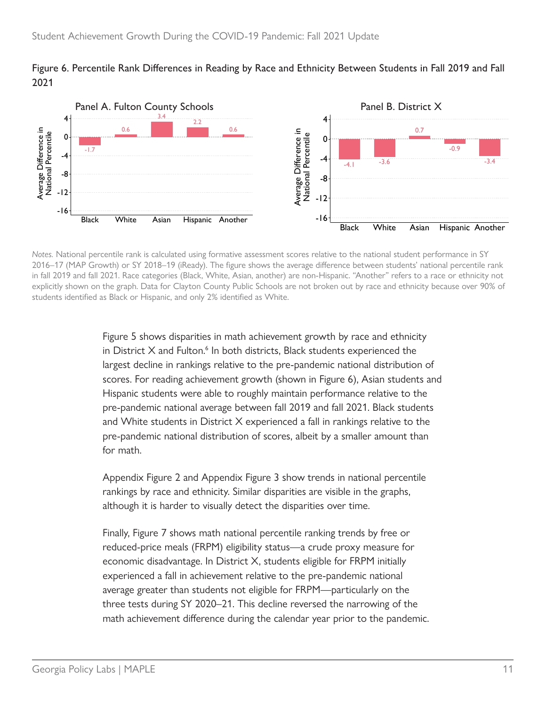#### <span id="page-12-0"></span>Figure 6. Percentile Rank Differences in Reading by Race and Ethnicity Between Students in Fall 2019 and Fall 2021



*Notes.* National percentile rank is calculated using formative assessment scores relative to the national student performance in SY 2016–17 (MAP Growth) or SY 2018–19 (iReady). The figure shows the average difference between students' national percentile rank in fall 2019 and fall 2021. Race categories (Black, White, Asian, another) are non-Hispanic. "Another" refers to a race or ethnicity not explicitly shown on the graph. Data for Clayton County Public Schools are not broken out by race and ethnicity because over 90% of students identified as Black or Hispanic, and only 2% identified as White.

> Figure 5 shows disparities in math achievement growth by race and ethnicity in District  $X$  and Fulton. $<sup>6</sup>$  In both districts, Black students experienced the</sup> largest decline in rankings relative to the pre-pandemic national distribution of scores. For reading achievement growth (shown in Figure 6), Asian students and Hispanic students were able to roughly maintain performance relative to the pre-pandemic national average between fall 2019 and fall 2021. Black students and White students in District X experienced a fall in rankings relative to the pre-pandemic national distribution of scores, albeit by a smaller amount than for math.

Appendix Figure 2 and Appendix Figure 3 show trends in national percentile rankings by race and ethnicity. Similar disparities are visible in the graphs, although it is harder to visually detect the disparities over time.

Finally, Figure 7 shows math national percentile ranking trends by free or reduced-price meals (FRPM) eligibility status—a crude proxy measure for economic disadvantage. In District X, students eligible for FRPM initially experienced a fall in achievement relative to the pre-pandemic national average greater than students not eligible for FRPM—particularly on the three tests during SY 2020–21. This decline reversed the narrowing of the math achievement difference during the calendar year prior to the pandemic.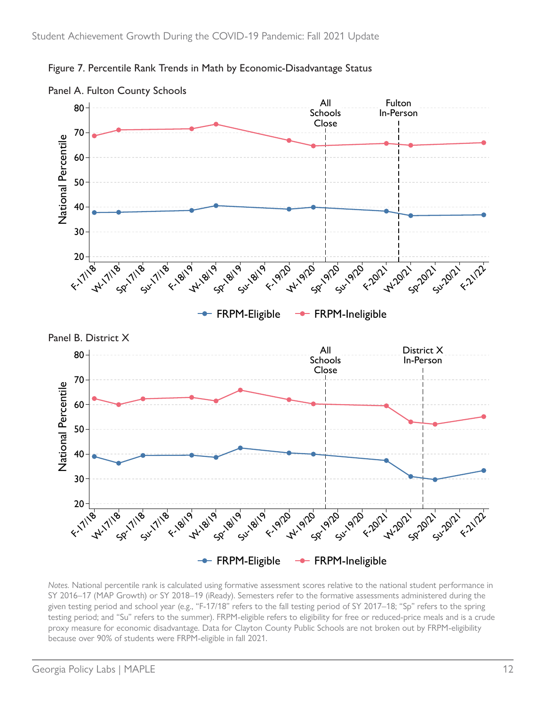

Figure 7. Percentile Rank Trends in Math by Economic-Disadvantage Status

*Notes.* National percentile rank is calculated using formative assessment scores relative to the national student performance in SY 2016–17 (MAP Growth) or SY 2018–19 (iReady). Semesters refer to the formative assessments administered during the given testing period and school year (e.g., "F-17/18" refers to the fall testing period of SY 2017–18; "Sp" refers to the spring testing period; and "Su" refers to the summer). FRPM-eligible refers to eligibility for free or reduced-price meals and is a crude proxy measure for economic disadvantage. Data for Clayton County Public Schools are not broken out by FRPM-eligibility because over 90% of students were FRPM-eligible in fall 2021.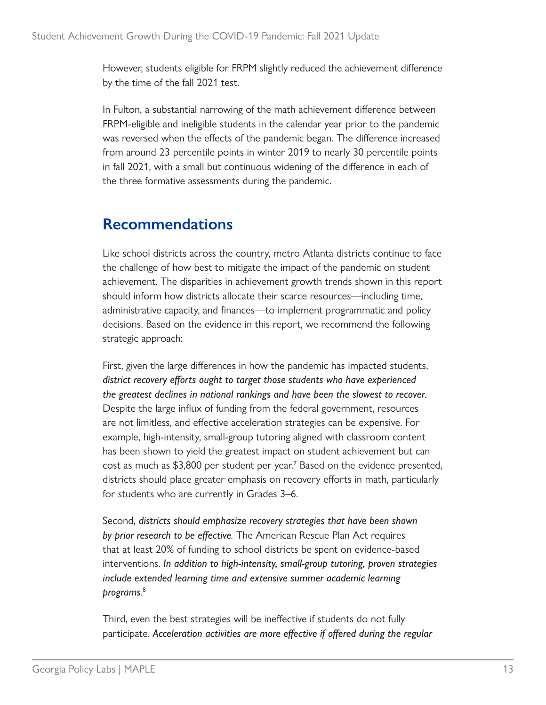<span id="page-14-0"></span>However, students eligible for FRPM slightly reduced the achievement difference by the time of the fall 2021 test.

In Fulton, a substantial narrowing of the math achievement difference between FRPM-eligible and ineligible students in the calendar year prior to the pandemic was reversed when the effects of the pandemic began. The difference increased from around 23 percentile points in winter 2019 to nearly 30 percentile points in fall 2021, with a small but continuous widening of the difference in each of the three formative assessments during the pandemic.

### **Recommendations**

Like school districts across the country, metro Atlanta districts continue to face the challenge of how best to mitigate the impact of the pandemic on student achievement. The disparities in achievement growth trends shown in this report should inform how districts allocate their scarce resources—including time, administrative capacity, and finances—to implement programmatic and policy decisions. Based on the evidence in this report, we recommend the following strategic approach:

First, given the large differences in how the pandemic has impacted students, *district recovery efforts ought to target those students who have experienced the greatest declines in national rankings and have been the slowest to recover.* Despite the large influx of funding from the federal government, resources are not limitless, and effective acceleration strategies can be expensive. For example, high-intensity, small-group tutoring aligned with classroom content has been shown to yield the greatest impact on student achievement but can cost as much as \$3,800 per student per year.<sup>7</sup> Based on the evidence presented, districts should place greater emphasis on recovery efforts in math, particularly for students who are currently in Grades 3–6.

Second, *districts should emphasize recovery strategies that have been shown by prior research to be effective.* The American Rescue Plan Act requires that at least 20% of funding to school districts be spent on evidence-based interventions. *In addition to high-intensity, small-group tutoring, proven strategies include extended learning time and extensive summer academic learning programs.* [8](#page-16-0)

Third, even the best strategies will be ineffective if students do not fully participate. *Acceleration activities are more effective if offered during the regular*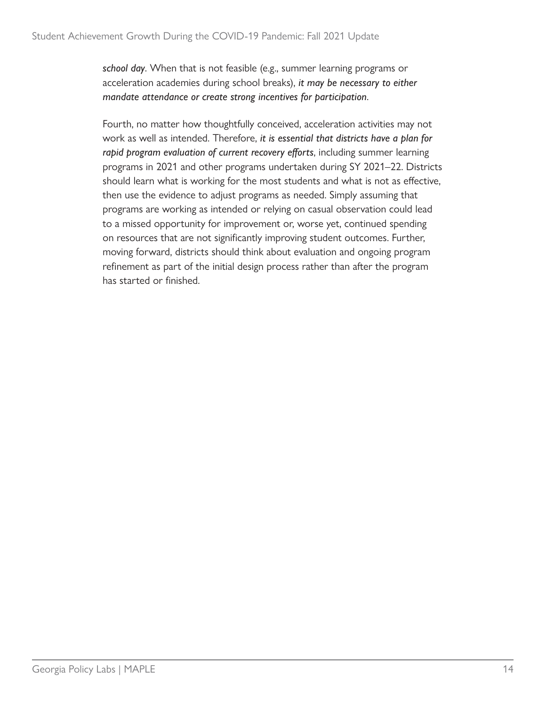*school day*. When that is not feasible (e.g., summer learning programs or acceleration academies during school breaks), *it may be necessary to either mandate attendance or create strong incentives for participation*.

Fourth, no matter how thoughtfully conceived, acceleration activities may not work as well as intended. Therefore, *it is essential that districts have a plan for rapid program evaluation of current recovery efforts*, including summer learning programs in 2021 and other programs undertaken during SY 2021–22. Districts should learn what is working for the most students and what is not as effective, then use the evidence to adjust programs as needed. Simply assuming that programs are working as intended or relying on casual observation could lead to a missed opportunity for improvement or, worse yet, continued spending on resources that are not significantly improving student outcomes. Further, moving forward, districts should think about evaluation and ongoing program refinement as part of the initial design process rather than after the program has started or finished.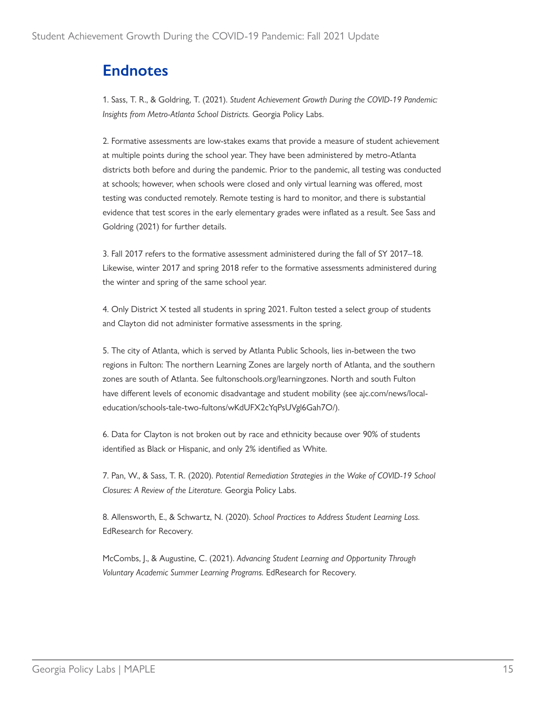## <span id="page-16-0"></span>**Endnotes**

1. Sass, T. R., & Goldring, T. (2021). *Student Achievement Growth During the COVID-19 Pandemic: Insights from Metro-Atlanta School Districts.* Georgia Policy Labs.

[2](#page-4-0). Formative assessments are low-stakes exams that provide a measure of student achievement at multiple points during the school year. They have been administered by metro-Atlanta districts both before and during the pandemic. Prior to the pandemic, all testing was conducted at schools; however, when schools were closed and only virtual learning was offered, most testing was conducted remotely. Remote testing is hard to monitor, and there is substantial evidence that test scores in the early elementary grades were inflated as a result. See Sass and Goldring (2021) for further details.

[3](#page-4-0). Fall 2017 refers to the formative assessment administered during the fall of SY 2017–18. Likewise, winter 2017 and spring 2018 refer to the formative assessments administered during the winter and spring of the same school year.

[4](#page-5-0). Only District X tested all students in spring 2021. Fulton tested a select group of students and Clayton did not administer formative assessments in the spring.

[5](#page-11-0). The city of Atlanta, which is served by Atlanta Public Schools, lies in-between the two regions in Fulton: The northern Learning Zones are largely north of Atlanta, and the southern zones are south of Atlanta. See [fultonschools.org/learningzones](http://www.fultonschools.org/learningzones). North and south Fulton have different levels of economic disadvantage and student mobility (see [ajc.com/news/local](https://www.ajc.com/news/local-education/schools-tale-two-fultons/wKdUFX2cYqPsUVgl6Gah7O/)[education/schools-tale-two-fultons/wKdUFX2cYqPsUVgl6Gah7O/\)](https://www.ajc.com/news/local-education/schools-tale-two-fultons/wKdUFX2cYqPsUVgl6Gah7O/).

[6](#page-12-0). Data for Clayton is not broken out by race and ethnicity because over 90% of students identified as Black or Hispanic, and only 2% identified as White.

[7](#page-14-0). Pan, W., & Sass, T. R. (2020). *Potential Remediation Strategies in the Wake of COVID-19 School Closures: A Review of the Literature.* Georgia Policy Labs.

[8](#page-14-0). Allensworth, E., & Schwartz, N. (2020). *School Practices to Address Student Learning Loss.* EdResearch for Recovery.

McCombs, J., & Augustine, C. (2021). *Advancing Student Learning and Opportunity Through Voluntary Academic Summer Learning Programs.* EdResearch for Recovery.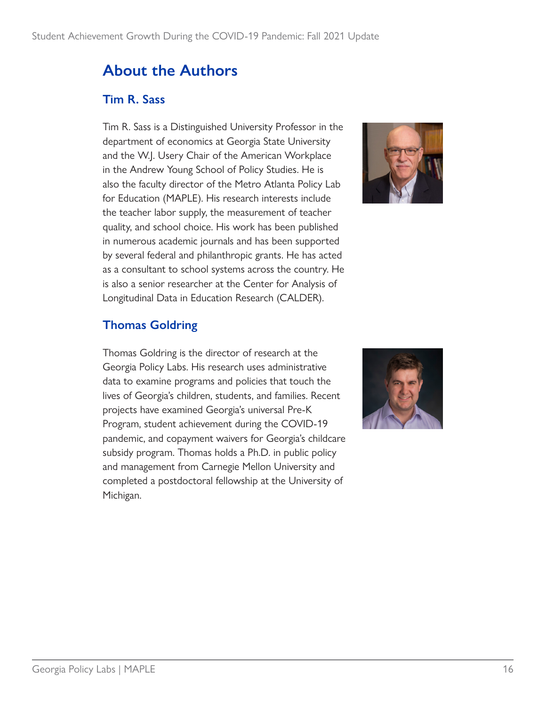## **About the Authors**

#### **Tim R. Sass**

Tim R. Sass is a Distinguished University Professor in the department of economics at Georgia State University and the W.J. Usery Chair of the American Workplace in the Andrew Young School of Policy Studies. He is also the faculty director of the Metro Atlanta Policy Lab for Education (MAPLE). His research interests include the teacher labor supply, the measurement of teacher quality, and school choice. His work has been published in numerous academic journals and has been supported by several federal and philanthropic grants. He has acted as a consultant to school systems across the country. He is also a senior researcher at the Center for Analysis of Longitudinal Data in Education Research (CALDER).



#### **Thomas Goldring**

Thomas Goldring is the director of research at the Georgia Policy Labs. His research uses administrative data to examine programs and policies that touch the lives of Georgia's children, students, and families. Recent projects have examined Georgia's universal Pre-K Program, student achievement during the COVID-19 pandemic, and copayment waivers for Georgia's childcare subsidy program. Thomas holds a Ph.D. in public policy and management from Carnegie Mellon University and completed a postdoctoral fellowship at the University of Michigan.